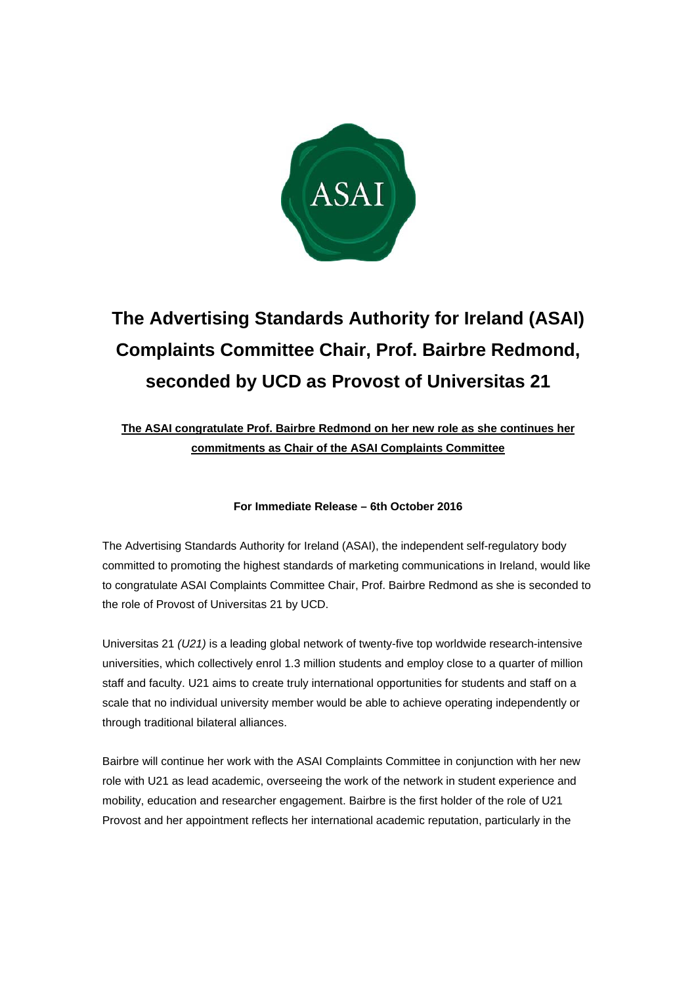

## **The Advertising Standards Authority for Ireland (ASAI) Complaints Committee Chair, Prof. Bairbre Redmond, seconded by UCD as Provost of Universitas 21**

## **The ASAI congratulate Prof. Bairbre Redmond on her new role as she continues her commitments as Chair of the ASAI Complaints Committee**

## **For Immediate Release – 6th October 2016**

The Advertising Standards Authority for Ireland (ASAI), the independent self-regulatory body committed to promoting the highest standards of marketing communications in Ireland, would like to congratulate ASAI Complaints Committee Chair, Prof. Bairbre Redmond as she is seconded to the role of Provost of Universitas 21 by UCD.

Universitas 21 *(U21)* is a leading global network of twenty-five top worldwide research-intensive universities, which collectively enrol 1.3 million students and employ close to a quarter of million staff and faculty. U21 aims to create truly international opportunities for students and staff on a scale that no individual university member would be able to achieve operating independently or through traditional bilateral alliances.

Bairbre will continue her work with the ASAI Complaints Committee in conjunction with her new role with U21 as lead academic, overseeing the work of the network in student experience and mobility, education and researcher engagement. Bairbre is the first holder of the role of U21 Provost and her appointment reflects her international academic reputation, particularly in the